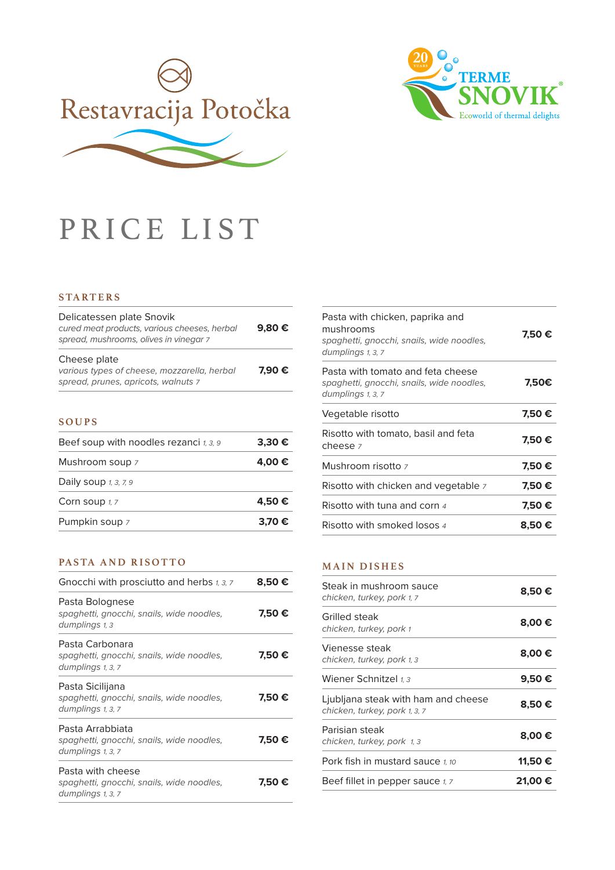



# PRICE LIST

#### **STA RT E RS**

| Delicatessen plate Snovik<br>cured meat products, various cheeses, herbal<br>spread, mushrooms, olives in vinegar 7 | 9.80€  |
|---------------------------------------------------------------------------------------------------------------------|--------|
| Cheese plate<br>various types of cheese, mozzarella, herbal<br>spread, prunes, apricots, walnuts 7                  | 7.90 € |

#### **SOUPS**

| Beef soup with noodles rezanci 1, 3, 9 | 3,30€  |
|----------------------------------------|--------|
| Mushroom soup 7                        | 4.00 € |
| Daily soup $1, 3, 7, 9$                |        |
| Corn soup 1, 7                         | 4.50 € |
| Pumpkin soup 7                         | 3.70 € |

# **PASTA AND RISOTTO**

| Gnocchi with prosciutto and herbs 1, 3, 7                                           | 8,50 € |
|-------------------------------------------------------------------------------------|--------|
| Pasta Bolognese<br>spaghetti, gnocchi, snails, wide noodles,<br>dumplings 1, 3      | 7,50 € |
| Pasta Carbonara<br>spaghetti, gnocchi, snails, wide noodles,<br>dumplings 1, 3, 7   | 7,50 € |
| Pasta Sicilijana<br>spaghetti, gnocchi, snails, wide noodles,<br>dumplings 1, 3, 7  | 7.50 € |
| Pasta Arrabbiata<br>spaghetti, gnocchi, snails, wide noodles,<br>dumplings 1, 3, 7  | 7,50 € |
| Pasta with cheese<br>spaghetti, gnocchi, snails, wide noodles,<br>dumplings 1, 3, 7 | 7,50 € |

| Pasta with chicken, paprika and<br>mushrooms<br>spaghetti, gnocchi, snails, wide noodles,<br>dumplings 1, 3, 7 | 7,50 € |
|----------------------------------------------------------------------------------------------------------------|--------|
| Pasta with tomato and feta cheese<br>spaghetti, gnocchi, snails, wide noodles,<br>dumplings 1, 3, 7            | 7,50€  |
| Vegetable risotto                                                                                              | 7,50 € |
| Risotto with tomato, basil and feta<br>cheese z                                                                | 7,50 € |
| Mushroom risotto z                                                                                             | 7,50 € |
| Risotto with chicken and vegetable 7                                                                           | 7,50 € |
| Risotto with tuna and corn $\scriptstyle 4$                                                                    | 7.50 € |
| Risotto with smoked losos 4                                                                                    | 8,50 € |

#### **MAIN DISHES**

| Steak in mushroom sauce<br>chicken, turkey, pork 1, 7                | 8,50 €  |
|----------------------------------------------------------------------|---------|
| Grilled steak<br>chicken, turkey, pork 1                             | 8,00€   |
| Vienesse steak<br>chicken, turkey, pork 1, 3                         | 8,00€   |
| Wiener Schnitzel 1.3                                                 | 9,50€   |
| Ljubljana steak with ham and cheese<br>chicken, turkey, pork 1, 3, 7 | 8,50€   |
| Parisian steak<br>chicken, turkey, pork 1,3                          | 8.00 €  |
| Pork fish in mustard sauce 1.10                                      | 11,50 € |
| Beef fillet in pepper sauce $\imath$ , $\imath$                      | 21.00 € |